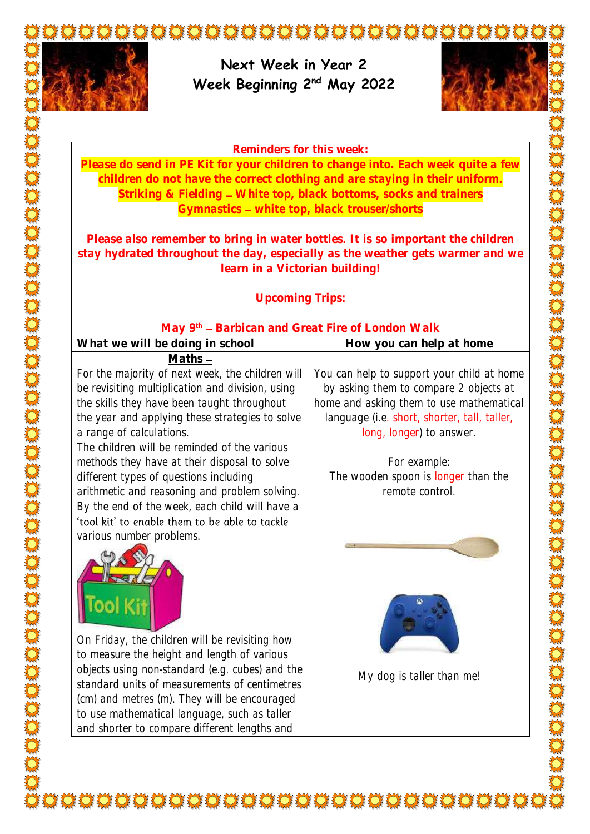

**Next Week in Year 2 Week Beginning 2nd May 2022**



#### **Reminders for this week:**

**Please do send in PE Kit for your children to change into. Each week quite a few children do not have the correct clothing and are staying in their uniform. Striking & Fielding White top, black bottoms, socks and trainers Gymnastics white top, black trouser/shorts**

**Please also remember to bring in water bottles. It is so important the children stay hydrated throughout the day, especially as the weather gets warmer and we learn in a Victorian building!** 

### **Upcoming Trips:**

### **May 9th Barbican and Great Fire of London Walk**

| What we will be doing in school                  | How you can help at home                     |
|--------------------------------------------------|----------------------------------------------|
| $Maths -$                                        |                                              |
| For the majority of next week, the children will | You can help to support your child at home   |
| be revisiting multiplication and division, using | by asking them to compare 2 objects at       |
| the skills they have been taught throughout      | home and asking them to use mathematical     |
| the year and applying these strategies to solve  | language (i.e. short, shorter, tall, taller, |
| a range of calculations.                         | long, longer) to answer.                     |
| The children will be reminded of the various     |                                              |
| methods they have at their disposal to solve     | For example:                                 |
| different types of questions including           | The wooden spoon is longer than the          |
| arithmetic and reasoning and problem solving.    | remote control.                              |
| By the end of the week, each child will have a   |                                              |
| 'tool kit' to enable them to be able to tackle   |                                              |
| various number problems.                         |                                              |



On Friday, the children will be revisiting how to measure the height and length of various objects using non-standard (e.g. cubes) and the standard units of measurements of centimetres (cm) and metres (m). They will be encouraged to use mathematical language, such as taller and shorter to compare different lengths and

My dog is taller than me!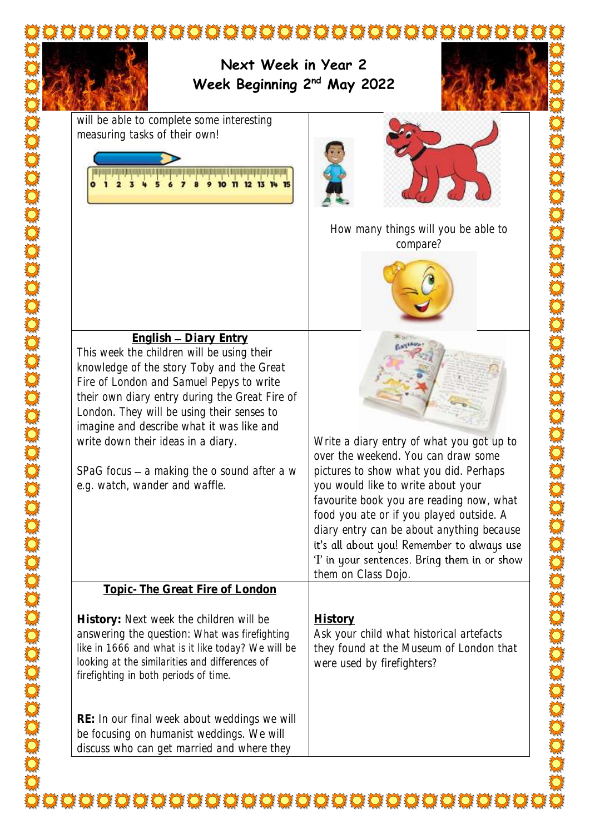